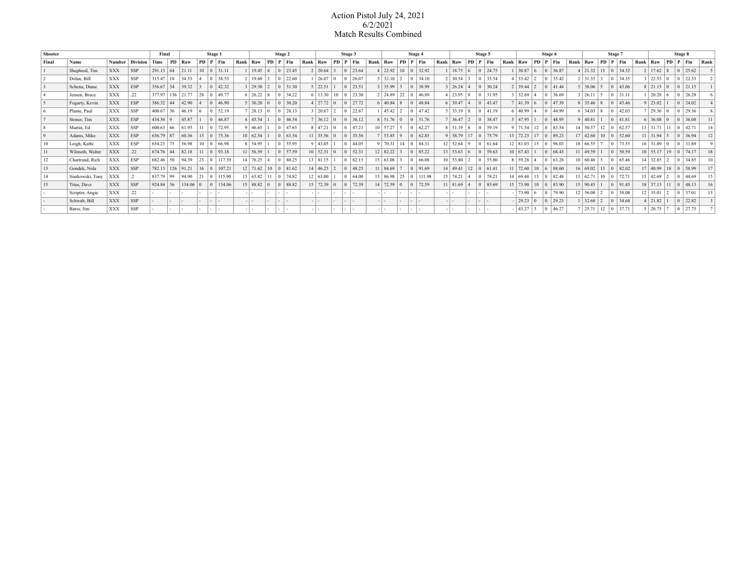## Action Pistol July 24, 2021 6/2/2021 Match Results Combined

| Shooter |                  |               |                 | Final<br>Stage 1 |     |        |            | Stage 2   |        |      |                 | Stage 3          |         |      |                 |                | Stage 4 |      |                 |                       | Stage 5                            |           |      |                 |                | Stage 6                  |  |                 |                 |           | Stage 7 |      |                                           |              |  | Stage 8                |      |                                |                |                |         |                 |
|---------|------------------|---------------|-----------------|------------------|-----|--------|------------|-----------|--------|------|-----------------|------------------|---------|------|-----------------|----------------|---------|------|-----------------|-----------------------|------------------------------------|-----------|------|-----------------|----------------|--------------------------|--|-----------------|-----------------|-----------|---------|------|-------------------------------------------|--------------|--|------------------------|------|--------------------------------|----------------|----------------|---------|-----------------|
| Final   | Name             | <b>Number</b> | <b>Division</b> | Time             | PD. | Raw    | PD         | $P$   Fin |        | Rank | Raw             | <b>PD</b>        | $P$ Fin | Rank | Raw             | PD             | P Fin   | Rank | Raw             |                       | PD                                 | $ P $ Fin | Rank | Raw             | PD             | $ P $ Fin                |  | Rank Raw        |                 | <b>PD</b> | Fin     | Rank | Raw                                       | PD           |  | $P$   Fin              | Rank | Raw                            | PD.            | $  \mathbf{p}$ | $ $ Fin | Rank            |
|         | Shepherd, Tim    | <b>XXX</b>    | <b>SSP</b>      | $291.13$ 64      |     | 21.11  | $10^{-7}$  |           | 31.11  |      | 19.45           | 4                | 23.45   |      | 20.64           |                | 23.64   |      | 22.92           |                       | 10 <sup>°</sup><br>$\vert 0 \vert$ | 32.92     |      | 18.75           | 6              | 24.75                    |  |                 | 30.87           | <b>6</b>  | 36.87   |      | 4   21.32   13                            |              |  | $ 0 $ 34.32            |      | 2 17.62                        | 8              |                | 25.62   |                 |
|         | Dolan, Bill      | <b>XXX</b>    | <b>SSP</b>      | $315.47$   18    |     | 34.53  |            |           | 38.53  |      | 2 19.60         |                  | 22.60   |      | 26.07           | $\Omega$       | 26.07   |      | $5 \mid 32.10$  |                       | $\overline{0}$                     | 34.10     |      | 30.54           |                | 33.54<br>$\overline{0}$  |  |                 | 33.42           |           | 35.42   |      | $2 \mid 31.35$                            |              |  | $ 0 $ 34.35            |      | 22.53 0                        |                | l 0            | 22.53   |                 |
|         | Schena, Diane    | <b>XXX</b>    | <b>ESP</b>      | $356.67$ 34      |     | 39.32  |            |           | 42.32  |      | 3 29.30         | $\overline{2}$   | 31.30   |      | 22.51           |                | 123.51  |      | 3   35.99       |                       | $\overline{0}$                     | 38.99     |      | 26.24           |                | 30.24<br>$\overline{0}$  |  |                 | $2 \mid 39.44$  |           | 41.44   |      | 5 38.06                                   |              |  | $ 0 $ 43.06            |      | $8 \mid 21.15$                 | $\overline{0}$ | $\overline{0}$ | 21.15   |                 |
|         | Jensen, Bruce    | <b>XXX</b>    | .22             | 377.97   136     |     | 21.77  | 28         |           | 49.77  |      | $6 \mid 26.22$  | $\overline{8}$   | 34.22   |      | 6 13.30 10      |                | 123.30  |      |                 | 24.89                 | 22<br>$\overline{0}$               | 46.89     |      | 23.95           |                | 131.95<br>$\overline{0}$ |  |                 | 32.69           |           | 36.69   |      | 3   26.11                                 |              |  | $ 0 $ 31.11            |      | 20.28                          |                | $\overline{0}$ | 26.28   |                 |
|         | Fogarty, Kevin   | <b>XXX</b>    | <b>ESP</b>      | $386.32$   44    |     | 42.90  |            |           | 46.90  |      | $5 \mid 30.20$  | $\overline{0}$   | 30.20   |      | 27.72 0         |                | 27.72   |      | 6 40.84         |                       | $\vert 0 \vert$<br>$\overline{8}$  | 48.84     |      | $6 \mid 39.47$  | $\overline{4}$ | 143.47<br>$\overline{0}$ |  |                 | 7 41.39 6       |           | 47.39   |      | $8 \mid 35.46 \mid 8$                     |              |  | $ 0 $ 43.46            |      | 9 23.02                        |                | $\overline{0}$ | 24.02   |                 |
|         | Plante, Paul     | XXX           | <b>SSP</b>      | $400.67$ 36      |     | 46.19  |            |           | 52.19  |      | 28.13           | $\overline{0}$   | 28.13   |      | 120.67          |                | 22.67   |      |                 | 45.42                 | $\overline{0}$                     | 47.42     |      | 33.19           | -8             | 41.19<br>$\overline{0}$  |  |                 | 6 40.99         |           | 44.99   |      | $6 \mid 34.03$                            |              |  | $ 0 $ 42.03            |      | 29.36                          | $\overline{0}$ | ۱n             | 29.36   |                 |
|         | Stoner. Tim      | <b>XXX</b>    | <b>ESP</b>      | $434.56$ 9       |     | 45.87  |            |           | 46.87  |      | 4   45.54       |                  | 146.54  |      | $36.12$ 0       |                | 36.12   |      |                 | $8 \mid 51.76 \mid 0$ |                                    | 0 51.76   |      | 36.47           | $\overline{2}$ | 38.47<br>$\vert 0 \vert$ |  |                 | 5 47.95         |           | 48.95   |      | 9   40.81                                 |              |  | $ 0 $ 41.81            |      | 6 36.08                        | 10             | l n            | 36.08   |                 |
|         | Martin, Ed       | <b>XXX</b>    | <b>SSP</b>      | 600.63   66      |     | 61.95  |            |           | 72.95  |      | 46.65           |                  | 47.65   |      | 8   47.21       | $\Omega$       | 47.21   |      | $10 \mid 57.27$ |                       | ĸ.<br>$\Omega$                     | 62.27     |      | 151.19          | $\mathbf{8}$   | 59.19<br>$\Omega$        |  | $9 \mid 71.54$  |                 | 12        | 83.54   |      | $14$ 50.57                                | 12           |  | $ 0 $ 62.57            |      | $13 \mid 31.71$                | $_{11}$        | $\overline{0}$ | 42.71   |                 |
|         | Adams, Mike      | <b>XXX</b>    | <b>ESP</b>      | $636.79$ 87      |     | 60.36  | $15 \pm 0$ |           | 75.36  |      | 10 62.54        |                  | 63.54   |      | $11$ 35.56      | $\overline{0}$ | 35.56   |      |                 | 7 53.85 9             | $\overline{0}$                     | 62.85     |      | 9 58.79         | 17             | 75.79<br>$\overline{0}$  |  | $13 \mid 72.23$ |                 | 17        | 89.23   |      | $17 \mid 42.60 \mid 10 \mid 0 \mid 52.60$ |              |  |                        |      | $11 \mid 31.94 \mid 5$         |                | $\overline{0}$ | 36.94   |                 |
| 10      | Leigh, Kathi     | <b>XXX</b>    | ESP             | $654.23$ 75      |     | 56.98  | $10-1$     |           | 66.98  |      | 54.95           |                  | 55.95   |      | 9 43.05         |                | 44.05   |      | 9   70.31       |                       | 14                                 | 0 84.31   |      | $12 \mid 52.64$ | $\mathbf Q$    | 61.64<br>$\overline{0}$  |  | $12 \mid 81.03$ |                 | 15        | 96.03   |      | 18 66.55                                  |              |  | $ 0 $ 73.55            |      | $16$ 31.89 0                   |                | $\overline{0}$ | 31.89   |                 |
| 11      | Wilmoth, Walter  | <b>XXX</b>    | .22             | $674.76$ 44      |     | 82.18  |            |           | 93.18  |      | 56.59           |                  | 57.59   |      | $10 \mid 52.31$ | $\overline{0}$ | 152.31  |      | $12 \mid 82.22$ |                       | $\overline{0}$                     | 85.22     |      | $13 \mid 53.63$ | 6              | 159.63<br>$\overline{0}$ |  | 10 67.43        |                 |           | 68.43   |      | 49.59                                     |              |  | $ 0 $ 50.59            |      | $10 \mid 55.17 \mid 19 \mid 0$ |                |                | 74.17   |                 |
| 12      | Chartrand, Rich  | XXX           | ESP             | $682.46$ 50      |     | 94.39  | 23         |           | 117.39 |      | 14 76.25        | l 4              | 80.25   |      | 13 81.15        |                | 82.15   |      | $15 \mid 63.08$ |                       | $\overline{0}$                     | 66.08     |      | $10 \mid 53.80$ | $\overline{2}$ | 55.80                    |  |                 | 8   59.28       |           | 63.28   |      | 10 60.46                                  |              |  | $ 0 $ 65.46            |      | $14$ 32.85 2                   |                | $\overline{0}$ | 34.85   | 10 <sup>1</sup> |
| 13      | Gondek, Nola     | <b>XXX</b>    | <b>SSP</b>      | 782.13   126     |     | 91.21  | 16         |           | 107.21 |      | $12 \mid 71.62$ | 10 <sup>10</sup> | 81.62   |      | $14 \mid 46.25$ |                | 48.25   |      | $11 \mid 84.69$ |                       | $\overline{0}$                     | 91.69     |      | 14   49.41      | 12             | 61.41<br>$\overline{0}$  |  | $11 \mid 72.60$ |                 | 10        | 88.60   |      | 16 69.02                                  | $ 13\rangle$ |  | 0 82.02                |      | 17   40.99                     | 18             | $\overline{0}$ | 58.99   | 17              |
| 14      | Siarkowski, Tony | <b>XXX</b>    |                 | $837.79$ 99      |     | 94.90  |            |           | 115.90 |      | 13   63.82      |                  | 174.82  |      | 12 63.00        |                | 64.00   |      |                 | 13 86.98 25           |                                    | 0 111.98  |      | $15 \mid 74.21$ | $\overline{4}$ | 78.21<br>$\overline{0}$  |  |                 | 14   69.48   13 |           | 82.48   |      | 13   62.71                                |              |  | $10 \mid 0 \mid 72.71$ |      | $15 \mid 42.69 \mid 2$         |                | $\overline{0}$ | 44.69   | 15              |
| 15      | Titus, Dave      | <b>XXX</b>    | <b>SSP</b>      | $924.84$ 56      |     | 134.06 |            |           | 134.06 |      | $15 \mid 88.82$ | $\overline{0}$   | 88.82   |      | $15 \mid 72.39$ | $\theta$       | 72.39   |      | $14 \mid 72.59$ |                       | $\overline{0}$                     | 72.59     |      | $11 \mid 81.69$ |                | 85.69                    |  | $15 \mid 73.90$ |                 | 10        | 83.90   |      | $15 \mid 90.45$                           |              |  | $ 0 $ 91.45            |      | $18$ 37.13 11                  |                | $\overline{0}$ | 48.13   | 16              |
|         | Scripter, Angie  | <b>XXX</b>    | .22             |                  |     |        |            |           |        |      |                 |                  |         |      |                 |                |         |      |                 |                       |                                    |           |      |                 |                |                          |  |                 | $- 73.90$       |           | 79.90   |      | $12 \mid 56.08$                           |              |  | $ 0 $ 58.08            |      | $12 \mid 35.01$                |                |                | 37.01   |                 |
|         | Schwab, Bill     | <b>XXX</b>    | <b>SSP</b>      |                  |     |        |            |           |        |      |                 |                  |         |      |                 |                |         |      |                 |                       | $\sim$                             |           |      |                 |                |                          |  |                 | 29.23           |           | 29.23   |      | 32.68                                     |              |  | $ 0 $ 34.68            |      | 21.82                          |                | l n            | 22.82   |                 |
|         | Barss, Jim       | <b>XXX</b>    | <b>SSP</b>      |                  | . . |        |            |           |        |      |                 |                  |         |      |                 |                |         |      | - 1 -           |                       | $\sim$                             |           |      |                 |                | . .                      |  |                 | 143.27          |           | 46.27   |      | 7 25.71                                   |              |  | $12 \t 0 \t 37.71$     |      | $5 \mid 20.75 \mid$            |                | $\overline{0}$ | 27.75   |                 |